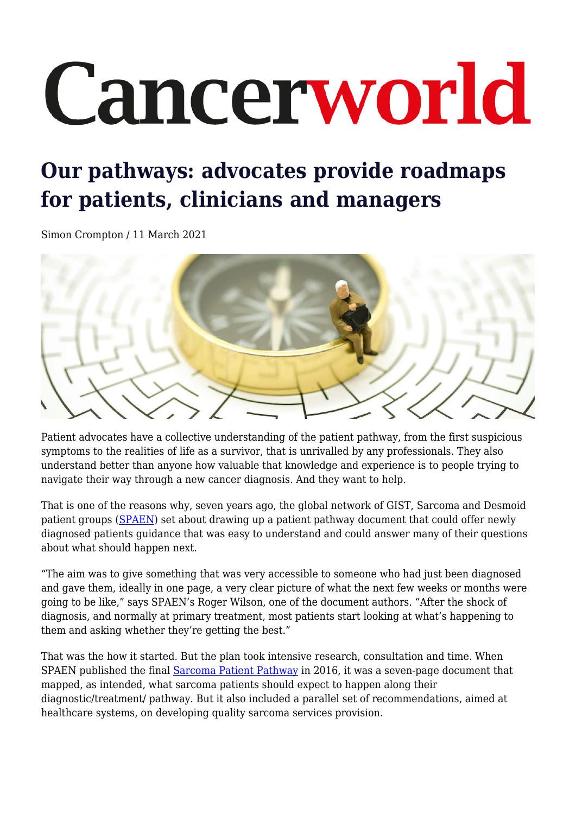# Cancerworld

# **Our pathways: advocates provide roadmaps for patients, clinicians and managers**

Simon Crompton / 11 March 2021



Patient advocates have a collective understanding of the patient pathway, from the first suspicious symptoms to the realities of life as a survivor, that is unrivalled by any professionals. They also understand better than anyone how valuable that knowledge and experience is to people trying to navigate their way through a new cancer diagnosis. And they want to help.

That is one of the reasons why, seven years ago, the global network of GIST, Sarcoma and Desmoid patient groups [\(SPAEN\)](https://www.sarcoma-patients.eu/en/) set about drawing up a patient pathway document that could offer newly diagnosed patients guidance that was easy to understand and could answer many of their questions about what should happen next.

"The aim was to give something that was very accessible to someone who had just been diagnosed and gave them, ideally in one page, a very clear picture of what the next few weeks or months were going to be like," says SPAEN's Roger Wilson, one of the document authors. "After the shock of diagnosis, and normally at primary treatment, most patients start looking at what's happening to them and asking whether they're getting the best."

That was the how it started. But the plan took intensive research, consultation and time. When SPAEN published the final [Sarcoma Patient Pathway](https://www.sarcoma-patients.eu/en/docman/position-papers/13-spaen-pathway-paper-v3/file) in 2016, it was a seven-page document that mapped, as intended, what sarcoma patients should expect to happen along their diagnostic/treatment/ pathway. But it also included a parallel set of recommendations, aimed at healthcare systems, on developing quality sarcoma services provision.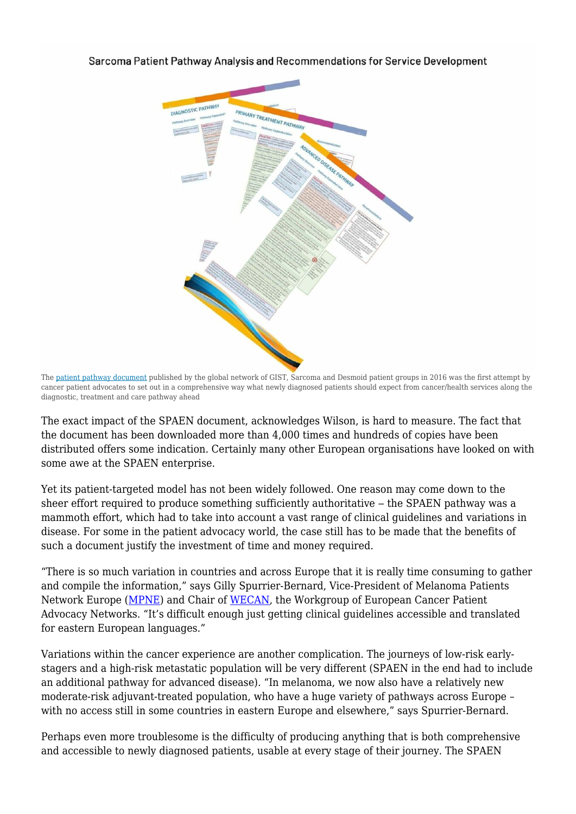

Sarcoma Patient Pathway Analysis and Recommendations for Service Development

The [patient pathway document](https://www.sarcoma-patients.eu/en/docman/position-papers/13-spaen-pathway-paper-v3/file) published by the global network of GIST, Sarcoma and Desmoid patient groups in 2016 was the first attempt by cancer patient advocates to set out in a comprehensive way what newly diagnosed patients should expect from cancer/health services along the diagnostic, treatment and care pathway ahead

The exact impact of the SPAEN document, acknowledges Wilson, is hard to measure. The fact that the document has been downloaded more than 4,000 times and hundreds of copies have been distributed offers some indication. Certainly many other European organisations have looked on with some awe at the SPAEN enterprise.

Yet its patient-targeted model has not been widely followed. One reason may come down to the sheer effort required to produce something sufficiently authoritative – the SPAEN pathway was a mammoth effort, which had to take into account a vast range of clinical guidelines and variations in disease. For some in the patient advocacy world, the case still has to be made that the benefits of such a document justify the investment of time and money required.

"There is so much variation in countries and across Europe that it is really time consuming to gather and compile the information," says Gilly Spurrier-Bernard, Vice-President of Melanoma Patients Network Europe ([MPNE](http://www.melanomapatientnetworkeu.org/)) and Chair of [WECAN,](https://wecanadvocate.eu/) the Workgroup of European Cancer Patient Advocacy Networks. "It's difficult enough just getting clinical guidelines accessible and translated for eastern European languages."

Variations within the cancer experience are another complication. The journeys of low-risk earlystagers and a high-risk metastatic population will be very different (SPAEN in the end had to include an additional pathway for advanced disease). "In melanoma, we now also have a relatively new moderate-risk adjuvant-treated population, who have a huge variety of pathways across Europe – with no access still in some countries in eastern Europe and elsewhere," says Spurrier-Bernard.

Perhaps even more troublesome is the difficulty of producing anything that is both comprehensive and accessible to newly diagnosed patients, usable at every stage of their journey. The SPAEN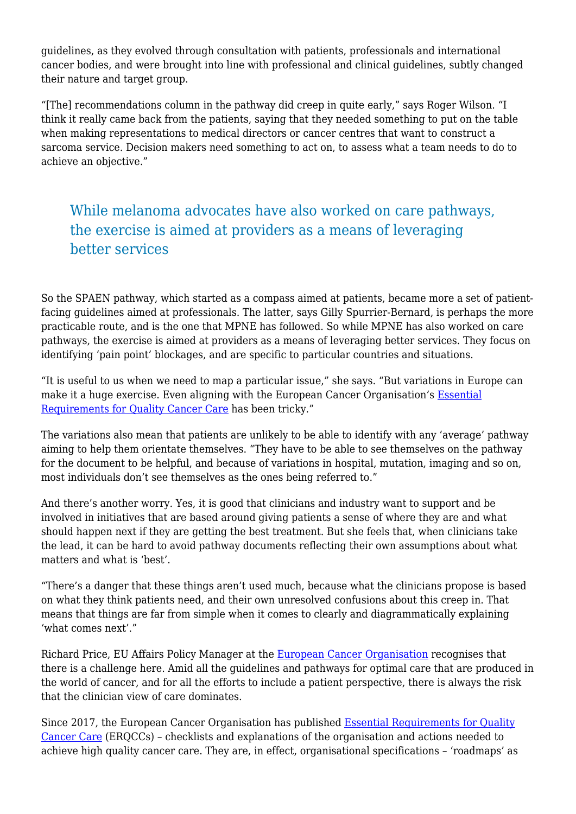guidelines, as they evolved through consultation with patients, professionals and international cancer bodies, and were brought into line with professional and clinical guidelines, subtly changed their nature and target group.

"[The] recommendations column in the pathway did creep in quite early," says Roger Wilson. "I think it really came back from the patients, saying that they needed something to put on the table when making representations to medical directors or cancer centres that want to construct a sarcoma service. Decision makers need something to act on, to assess what a team needs to do to achieve an objective."

## While melanoma advocates have also worked on care pathways, the exercise is aimed at providers as a means of leveraging better services

So the SPAEN pathway, which started as a compass aimed at patients, became more a set of patientfacing guidelines aimed at professionals. The latter, says Gilly Spurrier-Bernard, is perhaps the more practicable route, and is the one that MPNE has followed. So while MPNE has also worked on care pathways, the exercise is aimed at providers as a means of leveraging better services. They focus on identifying 'pain point' blockages, and are specific to particular countries and situations.

"It is useful to us when we need to map a particular issue," she says. "But variations in Europe can make it a huge exercise. Even aligning with the European Cancer Organisation's **Essential** [Requirements for Quality Cancer Care](https://www.europeancancer.org/component/attachments/?task=download&id=163) has been tricky."

The variations also mean that patients are unlikely to be able to identify with any 'average' pathway aiming to help them orientate themselves. "They have to be able to see themselves on the pathway for the document to be helpful, and because of variations in hospital, mutation, imaging and so on, most individuals don't see themselves as the ones being referred to."

And there's another worry. Yes, it is good that clinicians and industry want to support and be involved in initiatives that are based around giving patients a sense of where they are and what should happen next if they are getting the best treatment. But she feels that, when clinicians take the lead, it can be hard to avoid pathway documents reflecting their own assumptions about what matters and what is 'best'.

"There's a danger that these things aren't used much, because what the clinicians propose is based on what they think patients need, and their own unresolved confusions about this creep in. That means that things are far from simple when it comes to clearly and diagrammatically explaining 'what comes next'."

Richard Price, EU Affairs Policy Manager at the [European Cancer Organisation](https://www.europeancancer.org/) recognises that there is a challenge here. Amid all the guidelines and pathways for optimal care that are produced in the world of cancer, and for all the efforts to include a patient perspective, there is always the risk that the clinician view of care dominates.

Since 2017, the European Cancer Organisation has published [Essential Requirements for Quality](https://www.europeancancer.org/2-uncategorised/8-erqcc.html) [Cancer Care](https://www.europeancancer.org/2-uncategorised/8-erqcc.html) (ERQCCs) – checklists and explanations of the organisation and actions needed to achieve high quality cancer care. They are, in effect, organisational specifications – 'roadmaps' as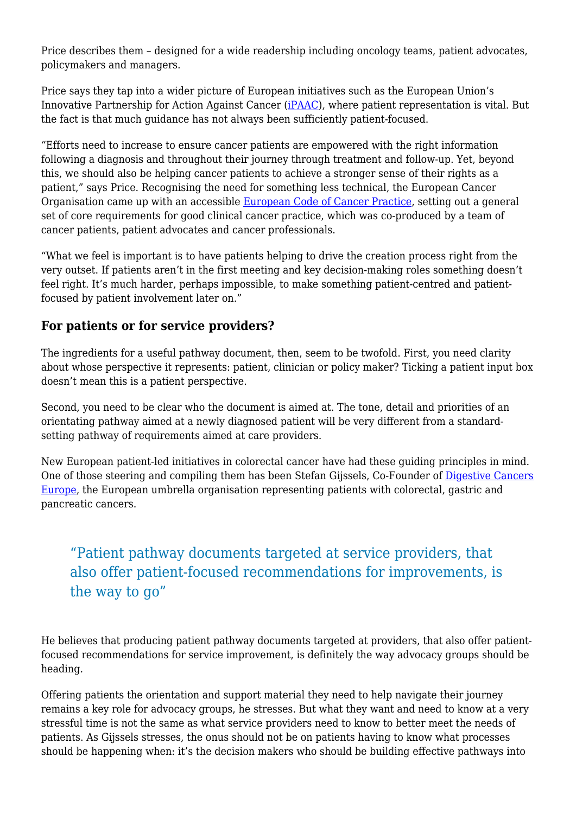Price describes them – designed for a wide readership including oncology teams, patient advocates, policymakers and managers.

Price says they tap into a wider picture of European initiatives such as the European Union's Innovative Partnership for Action Against Cancer ([iPAAC](https://www.ipaac.eu/)), where patient representation is vital. But the fact is that much guidance has not always been sufficiently patient-focused.

"Efforts need to increase to ensure cancer patients are empowered with the right information following a diagnosis and throughout their journey through treatment and follow-up. Yet, beyond this, we should also be helping cancer patients to achieve a stronger sense of their rights as a patient," says Price. Recognising the need for something less technical, the European Cancer Organisation came up with an accessible [European Code of Cancer Practice,](https://www.europeancancer.org/2-standard/66-european-code-of-cancer-practice) setting out a general set of core requirements for good clinical cancer practice, which was co-produced by a team of cancer patients, patient advocates and cancer professionals.

"What we feel is important is to have patients helping to drive the creation process right from the very outset. If patients aren't in the first meeting and key decision-making roles something doesn't feel right. It's much harder, perhaps impossible, to make something patient-centred and patientfocused by patient involvement later on."

#### **For patients or for service providers?**

The ingredients for a useful pathway document, then, seem to be twofold. First, you need clarity about whose perspective it represents: patient, clinician or policy maker? Ticking a patient input box doesn't mean this is a patient perspective.

Second, you need to be clear who the document is aimed at. The tone, detail and priorities of an orientating pathway aimed at a newly diagnosed patient will be very different from a standardsetting pathway of requirements aimed at care providers.

New European patient-led initiatives in colorectal cancer have had these guiding principles in mind. One of those steering and compiling them has been Stefan Gijssels, Co-Founder of [Digestive Cancers](https://digestivecancers.eu/) [Europe](https://digestivecancers.eu/), the European umbrella organisation representing patients with colorectal, gastric and pancreatic cancers.

## "Patient pathway documents targeted at service providers, that also offer patient-focused recommendations for improvements, is the way to go"

He believes that producing patient pathway documents targeted at providers, that also offer patientfocused recommendations for service improvement, is definitely the way advocacy groups should be heading.

Offering patients the orientation and support material they need to help navigate their journey remains a key role for advocacy groups, he stresses. But what they want and need to know at a very stressful time is not the same as what service providers need to know to better meet the needs of patients. As Gijssels stresses, the onus should not be on patients having to know what processes should be happening when: it's the decision makers who should be building effective pathways into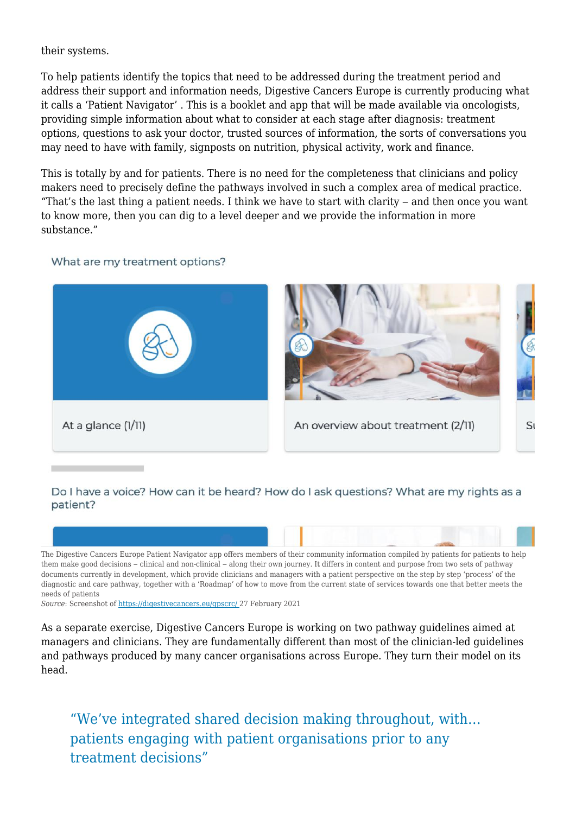their systems.

To help patients identify the topics that need to be addressed during the treatment period and address their support and information needs, Digestive Cancers Europe is currently producing what it calls a 'Patient Navigator' . This is a booklet and app that will be made available via oncologists, providing simple information about what to consider at each stage after diagnosis: treatment options, questions to ask your doctor, trusted sources of information, the sorts of conversations you may need to have with family, signposts on nutrition, physical activity, work and finance.

This is totally by and for patients. There is no need for the completeness that clinicians and policy makers need to precisely define the pathways involved in such a complex area of medical practice. "That's the last thing a patient needs. I think we have to start with clarity  $-$  and then once you want to know more, then you can dig to a level deeper and we provide the information in more substance."

#### What are my treatment options?



#### Do I have a voice? How can it be heard? How do I ask questions? What are my rights as a patient?



*Source*: Screenshot of [https://digestivecancers.eu/gpscrc/ 2](https://digestivecancers.eu/gpscrc/)7 February 2021

As a separate exercise, Digestive Cancers Europe is working on two pathway guidelines aimed at managers and clinicians. They are fundamentally different than most of the clinician-led guidelines and pathways produced by many cancer organisations across Europe. They turn their model on its head.

"We've integrated shared decision making throughout, with… patients engaging with patient organisations prior to any treatment decisions"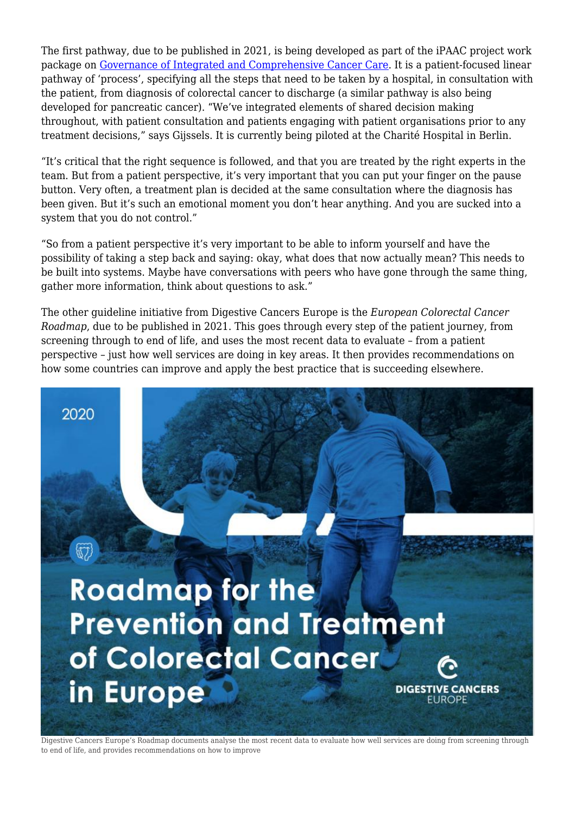The first pathway, due to be published in 2021, is being developed as part of the iPAAC project work package on [Governance of Integrated and Comprehensive Cancer Care.](https://www.ipaac.eu/en/work-packages/wp10/) It is a patient-focused linear pathway of 'process', specifying all the steps that need to be taken by a hospital, in consultation with the patient, from diagnosis of colorectal cancer to discharge (a similar pathway is also being developed for pancreatic cancer). "We've integrated elements of shared decision making throughout, with patient consultation and patients engaging with patient organisations prior to any treatment decisions," says Gijssels. It is currently being piloted at the Charité Hospital in Berlin.

"It's critical that the right sequence is followed, and that you are treated by the right experts in the team. But from a patient perspective, it's very important that you can put your finger on the pause button. Very often, a treatment plan is decided at the same consultation where the diagnosis has been given. But it's such an emotional moment you don't hear anything. And you are sucked into a system that you do not control."

"So from a patient perspective it's very important to be able to inform yourself and have the possibility of taking a step back and saying: okay, what does that now actually mean? This needs to be built into systems. Maybe have conversations with peers who have gone through the same thing, gather more information, think about questions to ask."

The other guideline initiative from Digestive Cancers Europe is the *European Colorectal Cancer Roadmap*, due to be published in 2021. This goes through every step of the patient journey, from screening through to end of life, and uses the most recent data to evaluate – from a patient perspective – just how well services are doing in key areas. It then provides recommendations on how some countries can improve and apply the best practice that is succeeding elsewhere.

2020

## **Roadmap for the Prevention and Treatment** of Colorectal Cancer in Europe **DIGESTIVE CANCERS EUROPE**

Digestive Cancers Europe's Roadmap documents analyse the most recent data to evaluate how well services are doing from screening through to end of life, and provides recommendations on how to improve